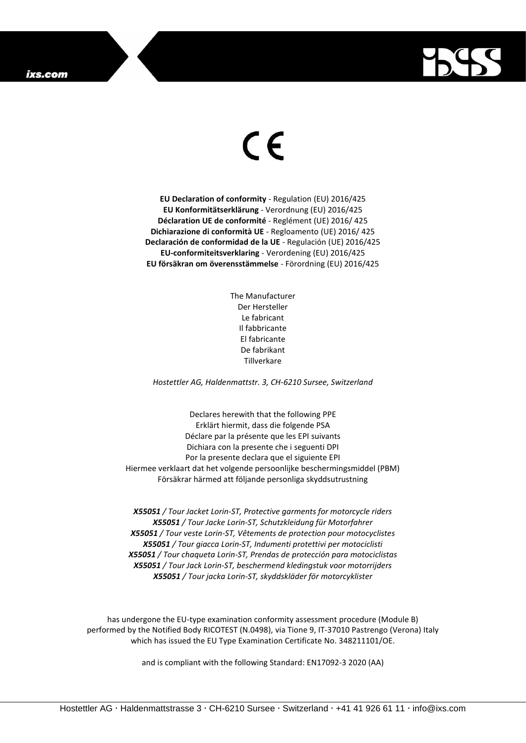## ixs.com



## $\epsilon$

**EU Declaration of conformity** - Regulation (EU) 2016/425 **EU Konformitätserklärung** - Verordnung (EU) 2016/425 **Déclaration UE de conformité** - Reglément (UE) 2016/ 425 **Dichiarazione di conformità UE** - Regloamento (UE) 2016/ 425 **Declaración de conformidad de la UE** - Regulación (UE) 2016/425 **EU-conformiteitsverklaring** - Verordening (EU) 2016/425 **EU försäkran om överensstämmelse** - Förordning (EU) 2016/425

> The Manufacturer Der Hersteller Le fabricant Il fabbricante El fabricante De fabrikant Tillverkare

*Hostettler AG, Haldenmattstr. 3, CH-6210 Sursee, Switzerland*

Declares herewith that the following PPE Erklärt hiermit, dass die folgende PSA Déclare par la présente que les EPI suivants Dichiara con la presente che i seguenti DPI Por la presente declara que el siguiente EPI Hiermee verklaart dat het volgende persoonlijke beschermingsmiddel (PBM) Försäkrar härmed att följande personliga skyddsutrustning

*X55051 / Tour Jacket Lorin-ST, Protective garments for motorcycle riders X55051 / Tour Jacke Lorin-ST, Schutzkleidung für Motorfahrer X55051 / Tour veste Lorin-ST, Vêtements de protection pour motocyclistes X55051 / Tour giacca Lorin-ST, Indumenti protettivi per motociclisti X55051 / Tour chaqueta Lorin-ST, Prendas de protección para motociclistas X55051 / Tour Jack Lorin-ST, beschermend kledingstuk voor motorrijders X55051 / Tour jacka Lorin-ST, skyddskläder för motorcyklister*

has undergone the EU-type examination conformity assessment procedure (Module B) performed by the Notified Body RICOTEST (N.0498), via Tione 9, IT-37010 Pastrengo (Verona) Italy which has issued the EU Type Examination Certificate No. 348211101/OE.

and is compliant with the following Standard: EN17092-3 2020 (AA)